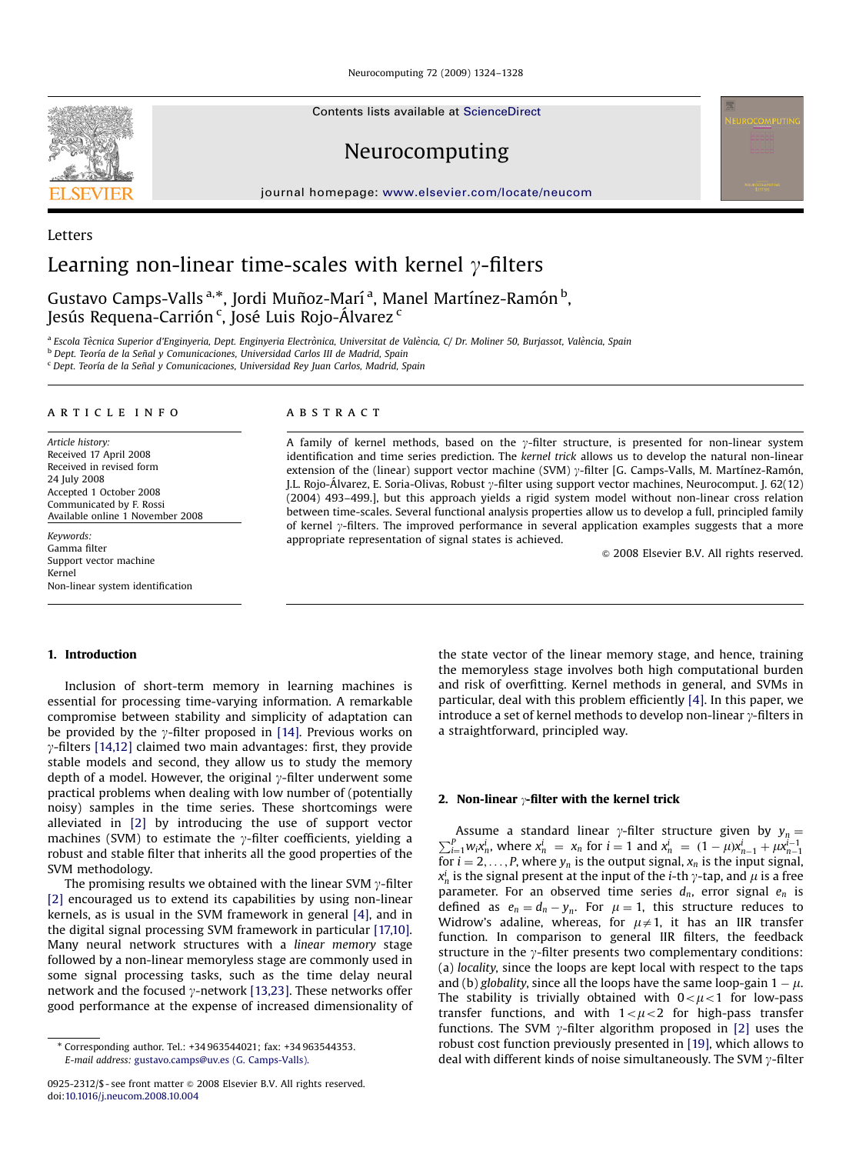Neurocomputing 72 (2009) 1324–1328

Contents lists available at [ScienceDirect](www.sciencedirect.com/science/journal/neucom)

Neurocomputing

journal homepage: <www.elsevier.com/locate/neucom>

# Letters Learning non-linear time-scales with kernel  $\gamma$ -filters

Gustavo Camps-Valls <sup>a,</sup>\*, Jordi Muñoz-Marí <sup>a</sup>, Manel Martínez-Ramón <sup>b</sup>, Jesús Requena-Carrión <sup>c</sup>, José Luis Rojo-Álvarez <sup>c</sup>

<sup>a</sup> Escola Tècnica Superior d'Enginyeria, Dept. Enginyeria Electrònica, Universitat de València, C/ Dr. Moliner 50, Burjassot, València, Spain

b Dept. Teoría de la Señal y Comunicaciones, Universidad Carlos III de Madrid, Spain

<sup>c</sup> Dept. Teoría de la Señal y Comunicaciones, Universidad Rey Juan Carlos, Madrid, Spain

## article info

Article history: Received 17 April 2008 Received in revised form 24 July 2008 Accepted 1 October 2008 Communicated by F. Rossi Available online 1 November 2008

Keywords: Gamma filter Support vector machine Kernel Non-linear system identification

#### **ABSTRACT**

A family of kernel methods, based on the  $\gamma$ -filter structure, is presented for non-linear system identification and time series prediction. The kernel trick allows us to develop the natural non-linear extension of the (linear) support vector machine (SVM)  $\gamma$ -filter [G. Camps-Valls, M. Martínez-Ramón, J.L. Rojo-Álvarez, E. Soria-Olivas, Robust  $\gamma$ -filter using support vector machines, Neurocomput. J. 62(12) (2004) 493–499.], but this approach yields a rigid system model without non-linear cross relation between time-scales. Several functional analysis properties allow us to develop a full, principled family of kernel  $\gamma$ -filters. The improved performance in several application examples suggests that a more appropriate representation of signal states is achieved.

 $\odot$  2008 Elsevier B.V. All rights reserved.

## 1. Introduction

Inclusion of short-term memory in learning machines is essential for processing time-varying information. A remarkable compromise between stability and simplicity of adaptation can be provided by the  $\gamma$ -filter proposed in [\[14\].](#page-4-0) Previous works on  $\gamma$ -filters [\[14,12\]](#page-4-0) claimed two main advantages: first, they provide stable models and second, they allow us to study the memory depth of a model. However, the original  $\gamma$ -filter underwent some practical problems when dealing with low number of (potentially noisy) samples in the time series. These shortcomings were alleviated in [\[2\]](#page-4-0) by introducing the use of support vector machines (SVM) to estimate the  $\gamma$ -filter coefficients, yielding a robust and stable filter that inherits all the good properties of the SVM methodology.

The promising results we obtained with the linear SVM  $\gamma$ -filter [\[2\]](#page-4-0) encouraged us to extend its capabilities by using non-linear kernels, as is usual in the SVM framework in general [\[4\],](#page-4-0) and in the digital signal processing SVM framework in particular [\[17,10\].](#page-4-0) Many neural network structures with a linear memory stage followed by a non-linear memoryless stage are commonly used in some signal processing tasks, such as the time delay neural network and the focused  $\gamma$ -network [\[13,23\].](#page-4-0) These networks offer good performance at the expense of increased dimensionality of the state vector of the linear memory stage, and hence, training the memoryless stage involves both high computational burden and risk of overfitting. Kernel methods in general, and SVMs in particular, deal with this problem efficiently [\[4\]](#page-4-0). In this paper, we introduce a set of kernel methods to develop non-linear  $\gamma$ -filters in a straightforward, principled way.

#### 2. Non-linear  $\gamma$ -filter with the kernel trick

Assume a standard linear y-filter structure given by  $y_n =$  $\sum_{i=1}^{p} w_i x_n^i$ , where  $x_n^i = x_n$  for  $i = 1$  and  $x_n^i = (1 - \mu)x_{n-1}^i + \mu x_{n-1}^{i-1}$ for  $i = 2, \ldots, P$ , where  $y_n$  is the output signal,  $x_n$  is the input signal,  $x_n^i$  is the signal present at the input of the i-th  $\gamma$ -tap, and  $\mu$  is a free parameter. For an observed time series  $d_n$ , error signal  $e_n$  is defined as  $e_n = d_n - y_n$ . For  $\mu = 1$ , this structure reduces to Widrow's adaline, whereas, for  $\mu \neq 1$ , it has an IIR transfer function. In comparison to general IIR filters, the feedback structure in the  $\gamma$ -filter presents two complementary conditions: (a) locality, since the loops are kept local with respect to the taps and (b) globality, since all the loops have the same loop-gain  $1 - \mu$ . The stability is trivially obtained with  $0 < \mu < 1$  for low-pass transfer functions, and with  $1 < \mu < 2$  for high-pass transfer functions. The SVM  $\gamma$ -filter algorithm proposed in [\[2\]](#page-4-0) uses the robust cost function previously presented in [\[19\],](#page-4-0) which allows to deal with different kinds of noise simultaneously. The SVM  $\gamma$ -filter





<sup>-</sup> Corresponding author. Tel.: +34 963544021; fax: +34 963544353. E-mail address: [gustavo.camps@uv.es \(G. Camps-Valls\).](mailto:gustavo.camps@uv.es)

<sup>0925-2312/\$ -</sup> see front matter  $\circ$  2008 Elsevier B.V. All rights reserved. doi:[10.1016/j.neucom.2008.10.004](dx.doi.org/10.1016/j.neucom.2008.10.004)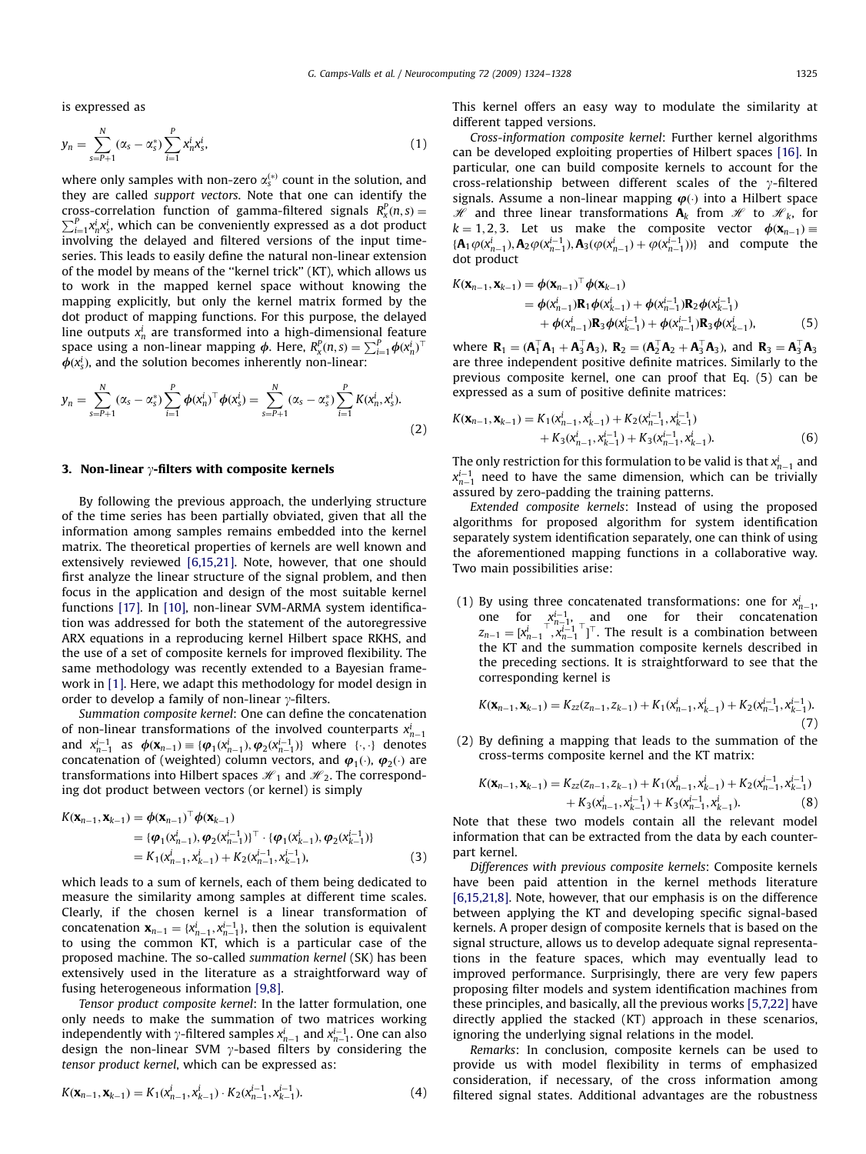is expressed as

$$
y_n = \sum_{s=P+1}^{N} (\alpha_s - \alpha_s^*) \sum_{i=1}^{P} x_n^i x_s^i,
$$
 (1)

where only samples with non-zero  $\alpha_s^{(*)}$  count in the solution, and they are called support vectors. Note that one can identify the cross-correlation function of gamma-filtered signals  $R_x^P(n, s) =$  $\sum_{i=1}^{P} x_n^i x_s^i$ , which can be conveniently expressed as a dot product involving the delayed and filtered versions of the input timeseries. This leads to easily define the natural non-linear extension of the model by means of the ''kernel trick'' (KT), which allows us to work in the mapped kernel space without knowing the mapping explicitly, but only the kernel matrix formed by the dot product of mapping functions. For this purpose, the delayed line outputs  $x_n^i$  are transformed into a high-dimensional feature space using a non-linear mapping  $\phi$ . Here,  $R_x^P(n,s) = \sum_{i=1}^P \phi(x_n^i)^\top$  $\phi(x_s^i)$ , and the solution becomes inherently non-linear:

$$
y_n = \sum_{s=P+1}^{N} (\alpha_s - \alpha_s^*) \sum_{i=1}^{P} \phi(x_n^i)^{\top} \phi(x_s^i) = \sum_{s=P+1}^{N} (\alpha_s - \alpha_s^*) \sum_{i=1}^{P} K(x_n^i, x_s^i).
$$
\n(2)

#### 3. Non-linear  $\gamma$ -filters with composite kernels

By following the previous approach, the underlying structure of the time series has been partially obviated, given that all the information among samples remains embedded into the kernel matrix. The theoretical properties of kernels are well known and extensively reviewed [\[6,15,21\]](#page-4-0). Note, however, that one should first analyze the linear structure of the signal problem, and then focus in the application and design of the most suitable kernel functions [\[17\]](#page-4-0). In [\[10\],](#page-4-0) non-linear SVM-ARMA system identification was addressed for both the statement of the autoregressive ARX equations in a reproducing kernel Hilbert space RKHS, and the use of a set of composite kernels for improved flexibility. The same methodology was recently extended to a Bayesian framework in [\[1\]](#page-4-0). Here, we adapt this methodology for model design in order to develop a family of non-linear  $\gamma$ -filters.

Summation composite kernel: One can define the concatenation of non-linear transformations of the involved counterparts  $x_{n-1}^{i}$ and  $x_{n-1}^{i-1}$  as  $\phi(\mathbf{x}_{n-1}) \equiv {\phi_1(x_{n-1}^i), \phi_2(x_{n-1}^{i-1})}$  where  ${\{\cdot,\cdot\}}$  denotes concatenation of (weighted) column vectors, and  $\pmb{\varphi}_1(\cdot)$ ,  $\pmb{\varphi}_2(\cdot)$  are transformations into Hilbert spaces  $\mathcal{H}_1$  and  $\mathcal{H}_2$ . The corresponding dot product between vectors (or kernel) is simply

$$
K(\mathbf{x}_{n-1}, \mathbf{x}_{k-1}) = \phi(\mathbf{x}_{n-1})^{\top} \phi(\mathbf{x}_{k-1})
$$
  
= { $\phi_1(x_{n-1}^i), \phi_2(x_{n-1}^{i-1})^{\top} \cdot {\phi_1(x_{k-1}^i), \phi_2(x_{k-1}^{i-1})}$   
= K<sub>1</sub>( $x_{n-1}^i, x_{k-1}^i$ ) + K<sub>2</sub>( $x_{n-1}^{i-1}, x_{k-1}^{i-1}$ ), (3)

which leads to a sum of kernels, each of them being dedicated to measure the similarity among samples at different time scales. Clearly, if the chosen kernel is a linear transformation of concatenation  $\mathbf{x}_{n-1} = \{x_{n-1}^i, x_{n-1}^{i-1}\}$ , then the solution is equivalent to using the common KT, which is a particular case of the proposed machine. The so-called summation kernel (SK) has been extensively used in the literature as a straightforward way of fusing heterogeneous information [\[9,8\]](#page-4-0).

Tensor product composite kernel: In the latter formulation, one only needs to make the summation of two matrices working independently with  $\gamma$ -filtered samples  $x_{n-1}^i$  and  $x_{n-1}^{i-1}.$  One can also design the non-linear SVM  $\gamma$ -based filters by considering the tensor product kernel, which can be expressed as:

$$
K(\mathbf{x}_{n-1}, \mathbf{x}_{k-1}) = K_1(x_{n-1}^i, x_{k-1}^i) \cdot K_2(x_{n-1}^{i-1}, x_{k-1}^{i-1}).
$$
\n(4)

This kernel offers an easy way to modulate the similarity at different tapped versions.

Cross-information composite kernel: Further kernel algorithms can be developed exploiting properties of Hilbert spaces [\[16\].](#page-4-0) In particular, one can build composite kernels to account for the cross-relationship between different scales of the  $\gamma$ -filtered signals. Assume a non-linear mapping  $\varphi(\cdot)$  into a Hilbert space  $\mathcal{H}$  and three linear transformations  $A_k$  from  $\mathcal{H}$  to  $\mathcal{H}_k$ , for  $k = 1, 2, 3$ . Let us make the composite vector  $\phi(\mathbf{x}_{n-1}) =$  $\{A_1\varphi(x_{n-1}^i), A_2\varphi(x_{n-1}^{i-1}), A_3(\varphi(x_{n-1}^i) + \varphi(x_{n-1}^{i-1}))\}$  and compute the dot product

$$
K(\mathbf{x}_{n-1}, \mathbf{x}_{k-1}) = \phi(\mathbf{x}_{n-1})^{\top} \phi(\mathbf{x}_{k-1})
$$
  
=  $\phi(x_{n-1}^i) \mathbf{R}_1 \phi(x_{k-1}^i) + \phi(x_{n-1}^{i-1}) \mathbf{R}_2 \phi(x_{k-1}^{i-1})$   
+  $\phi(x_{n-1}^i) \mathbf{R}_3 \phi(x_{k-1}^{i-1}) + \phi(x_{n-1}^{i-1}) \mathbf{R}_3 \phi(x_{k-1}^i)$ , (5)

where  $\mathbf{R}_1 = (\mathbf{A}_1^\top \mathbf{A}_1 + \mathbf{A}_3^\top \mathbf{A}_3)$ ,  $\mathbf{R}_2 = (\mathbf{A}_2^\top \mathbf{A}_2 + \mathbf{A}_3^\top \mathbf{A}_3)$ , and  $\mathbf{R}_3 = \mathbf{A}_3^\top \mathbf{A}_3$ are three independent positive definite matrices. Similarly to the previous composite kernel, one can proof that Eq. (5) can be expressed as a sum of positive definite matrices:

$$
K(\mathbf{x}_{n-1}, \mathbf{x}_{k-1}) = K_1(x_{n-1}^i, x_{k-1}^i) + K_2(x_{n-1}^{i-1}, x_{k-1}^{i-1}) + K_3(x_{n-1}^i, x_{k-1}^{i-1}) + K_3(x_{n-1}^{i-1}, x_{k-1}^i).
$$
 (6)

The only restriction for this formulation to be valid is that  $x_{n-1}^i$  and  $x_{n-1}^{i-1}$  need to have the same dimension, which can be trivially assured by zero-padding the training patterns.

Extended composite kernels: Instead of using the proposed algorithms for proposed algorithm for system identification separately system identification separately, one can think of using the aforementioned mapping functions in a collaborative way. Two main possibilities arise:

(1) By using three concatenated transformations: one for  $x_{n-1}^i$ , one for  $x_{n-1}^{i-1}$ , and one for their concatenation  $z_{n-1} = [x_{n-1}^i, x_{n-1}^{i-1}]^\top$ . The result is a combination between the KT and the summation composite kernels described in the preceding sections. It is straightforward to see that the corresponding kernel is

$$
K(\mathbf{x}_{n-1}, \mathbf{x}_{k-1}) = K_{zz}(z_{n-1}, z_{k-1}) + K_1(x_{n-1}^i, x_{k-1}^i) + K_2(x_{n-1}^{i-1}, x_{k-1}^{i-1}).
$$
\n(7)

(2) By defining a mapping that leads to the summation of the cross-terms composite kernel and the KT matrix:

$$
K(\mathbf{x}_{n-1}, \mathbf{x}_{k-1}) = K_{zz}(z_{n-1}, z_{k-1}) + K_1(x_{n-1}^i, x_{k-1}^i) + K_2(x_{n-1}^{i-1}, x_{k-1}^{i-1}) + K_3(x_{n-1}^i, x_{k-1}^{i-1}) + K_3(x_{n-1}^{i-1}, x_{k-1}^i).
$$
 (8)

Note that these two models contain all the relevant model information that can be extracted from the data by each counterpart kernel.

Differences with previous composite kernels: Composite kernels have been paid attention in the kernel methods literature [\[6,15,21,8\]](#page-4-0). Note, however, that our emphasis is on the difference between applying the KT and developing specific signal-based kernels. A proper design of composite kernels that is based on the signal structure, allows us to develop adequate signal representations in the feature spaces, which may eventually lead to improved performance. Surprisingly, there are very few papers proposing filter models and system identification machines from these principles, and basically, all the previous works [\[5,7,22\]](#page-4-0) have directly applied the stacked (KT) approach in these scenarios, ignoring the underlying signal relations in the model.

Remarks: In conclusion, composite kernels can be used to provide us with model flexibility in terms of emphasized consideration, if necessary, of the cross information among filtered signal states. Additional advantages are the robustness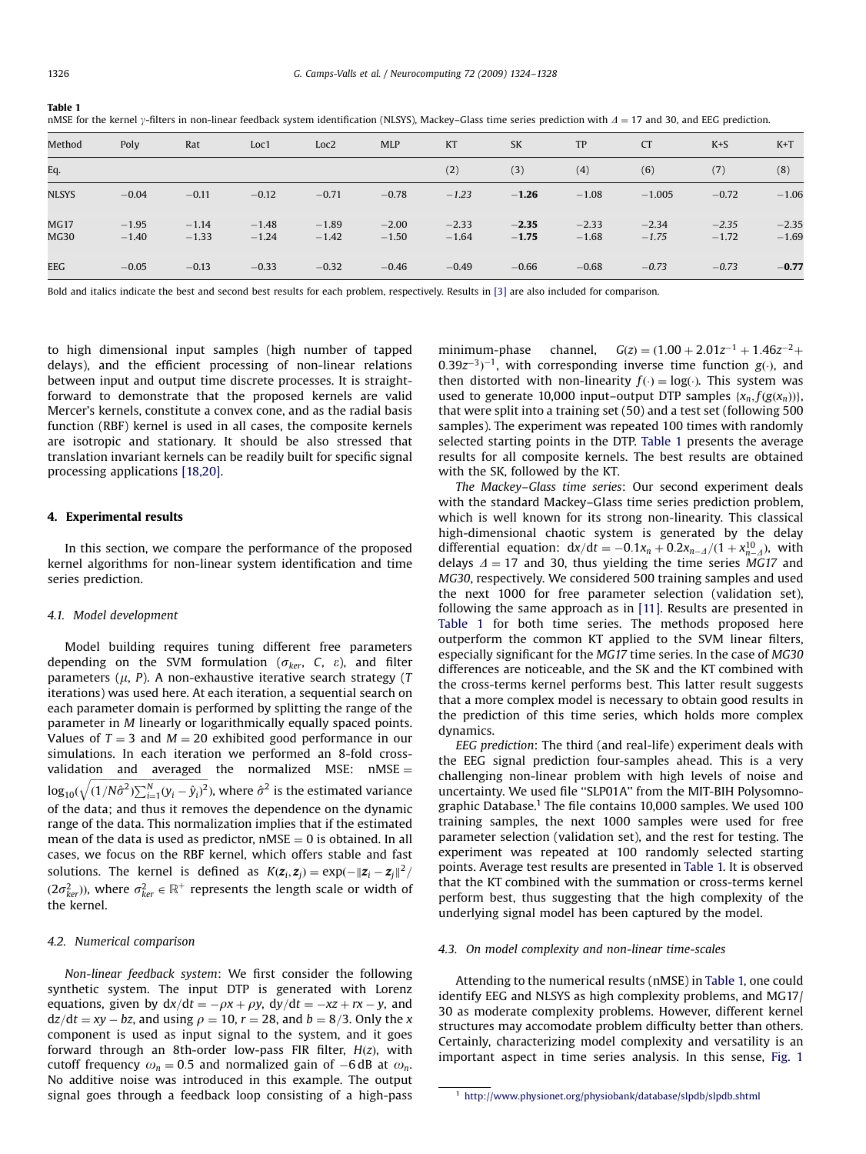<span id="page-2-0"></span>

Table 1

**EEG** 

| $\mu$ musc for the kerner $\mu$ -inters in non-inical recuback system identification (ivests), mackey-Glass time series prediction with $\mu \equiv 17$ and 50, and EEG prediction. |                    |                    |                    |                    |                    |                    |                    |                    |                    |                    |                    |
|-------------------------------------------------------------------------------------------------------------------------------------------------------------------------------------|--------------------|--------------------|--------------------|--------------------|--------------------|--------------------|--------------------|--------------------|--------------------|--------------------|--------------------|
| Method                                                                                                                                                                              | Poly               | Rat                | Loc1               | Loc2               | <b>MLP</b>         | KT                 | <b>SK</b>          | <b>TP</b>          | <b>CT</b>          | $K+S$              | $K+T$              |
| Eq.                                                                                                                                                                                 |                    |                    |                    |                    |                    | (2)                | (3)                | (4)                | (6)                | (7)                | (8)                |
| <b>NLSYS</b>                                                                                                                                                                        | $-0.04$            | $-0.11$            | $-0.12$            | $-0.71$            | $-0.78$            | $-1.23$            | $-1.26$            | $-1.08$            | $-1.005$           | $-0.72$            | $-1.06$            |
| MG17<br>MG30                                                                                                                                                                        | $-1.95$<br>$-1.40$ | $-1.14$<br>$-1.33$ | $-1.48$<br>$-1.24$ | $-1.89$<br>$-1.42$ | $-2.00$<br>$-1.50$ | $-2.33$<br>$-1.64$ | $-2.35$<br>$-1.75$ | $-2.33$<br>$-1.68$ | $-2.34$<br>$-1.75$ | $-2.35$<br>$-1.72$ | $-2.35$<br>$-1.69$ |

 $-0.49$ 

 $-0.66$ 

 $-0.46$ 

nMSE for the kernel  $\alpha$ -filters in non-linear foedback system identification (NLSYS), Mackey–Glass time series prediction with  $\lambda = 17$  and 30, and EEG prediction.

Bold and italics indicate the best and second best results for each problem, respectively. Results in [\[3\]](#page-4-0) are also included for comparison.

 $-0.32$ 

to high dimensional input samples (high number of tapped delays), and the efficient processing of non-linear relations between input and output time discrete processes. It is straightforward to demonstrate that the proposed kernels are valid Mercer's kernels, constitute a convex cone, and as the radial basis function (RBF) kernel is used in all cases, the composite kernels are isotropic and stationary. It should be also stressed that translation invariant kernels can be readily built for specific signal processing applications [\[18,20\].](#page-4-0)

 $-0.33$ 

 $-0.13$ 

## 4. Experimental results

 $-0.05$ 

In this section, we compare the performance of the proposed kernel algorithms for non-linear system identification and time series prediction.

#### 4.1. Model development

Model building requires tuning different free parameters depending on the SVM formulation ( $\sigma_{\text{ker}}$ , C,  $\varepsilon$ ), and filter parameters  $(\mu, P)$ . A non-exhaustive iterative search strategy (T iterations) was used here. At each iteration, a sequential search on each parameter domain is performed by splitting the range of the parameter in M linearly or logarithmically equally spaced points. Values of  $T = 3$  and  $M = 20$  exhibited good performance in our simulations. In each iteration we performed an 8-fold crossvalidation and averaged the normalized MSE:  $nMSE =$  $\log_{10}$ (  $\sqrt{(1/N\hat{\sigma}^2)\sum_{i=1}^N(y_i - \hat{y}_i)^2}$ , where  $\hat{\sigma}^2$  is the estimated variance of the data; and thus it removes the dependence on the dynamic range of the data. This normalization implies that if the estimated mean of the data is used as predictor,  $nMSE = 0$  is obtained. In all cases, we focus on the RBF kernel, which offers stable and fast solutions. The kernel is defined as  $K(\mathbf{z}_i, \mathbf{z}_j) = \exp(-\|\mathbf{z}_i - \mathbf{z}_j\|^2)$  $(2\sigma_{ker}^2)$ ), where  $\sigma_{ker}^2 \in \mathbb{R}^+$  represents the length scale or width of the kernel.

#### 4.2. Numerical comparison

Non-linear feedback system: We first consider the following synthetic system. The input DTP is generated with Lorenz equations, given by  $dx/dt = -\rho x + \rho y$ ,  $dy/dt = -xz + rx - y$ , and  $dz/dt = xy - bz$ , and using  $\rho = 10$ ,  $r = 28$ , and  $b = 8/3$ . Only the x component is used as input signal to the system, and it goes forward through an 8th-order low-pass FIR filter,  $H(z)$ , with cutoff frequency  $\omega_n = 0.5$  and normalized gain of  $-6$  dB at  $\omega_n$ . No additive noise was introduced in this example. The output signal goes through a feedback loop consisting of a high-pass

minimum-phase channel,  $G(z) = (1.00 + 2.01z^{-1} + 1.46z^{-2} +$  $0.39z^{-3}$ <sup>-1</sup>, with corresponding inverse time function  $g(\cdot)$ , and then distorted with non-linearity  $f(\cdot) = \log(\cdot)$ . This system was used to generate 10,000 input–output DTP samples  $\{x_n, f(g(x_n))\}$ , that were split into a training set (50) and a test set (following 500 samples). The experiment was repeated 100 times with randomly selected starting points in the DTP. Table 1 presents the average results for all composite kernels. The best results are obtained with the SK, followed by the KT.

 $-0.73$ 

 $-0.73$ 

 $-0.77$ 

 $-0.68$ 

The Mackey–Glass time series: Our second experiment deals with the standard Mackey–Glass time series prediction problem, which is well known for its strong non-linearity. This classical high-dimensional chaotic system is generated by the delay differential equation:  $dx/dt = -0.1x_n + 0.2x_{n-4}/(1 + x_{n-4}^{10})$ , with delays  $\Delta = 17$  and 30, thus yielding the time series MG17 and MG30, respectively. We considered 500 training samples and used the next 1000 for free parameter selection (validation set), following the same approach as in [\[11\]](#page-4-0). Results are presented in Table 1 for both time series. The methods proposed here outperform the common KT applied to the SVM linear filters, especially significant for the MG17 time series. In the case of MG30 differences are noticeable, and the SK and the KT combined with the cross-terms kernel performs best. This latter result suggests that a more complex model is necessary to obtain good results in the prediction of this time series, which holds more complex dynamics.

EEG prediction: The third (and real-life) experiment deals with the EEG signal prediction four-samples ahead. This is a very challenging non-linear problem with high levels of noise and uncertainty. We used file ''SLP01A'' from the MIT-BIH Polysomnographic Database.<sup>1</sup> The file contains 10,000 samples. We used 100 training samples, the next 1000 samples were used for free parameter selection (validation set), and the rest for testing. The experiment was repeated at 100 randomly selected starting points. Average test results are presented in Table 1. It is observed that the KT combined with the summation or cross-terms kernel perform best, thus suggesting that the high complexity of the underlying signal model has been captured by the model.

#### 4.3. On model complexity and non-linear time-scales

Attending to the numerical results (nMSE) in Table 1, one could identify EEG and NLSYS as high complexity problems, and MG17/ 30 as moderate complexity problems. However, different kernel structures may accomodate problem difficulty better than others. Certainly, characterizing model complexity and versatility is an important aspect in time series analysis. In this sense, [Fig. 1](#page-3-0)

<sup>1</sup> <http://www.physionet.org/physiobank/database/slpdb/slpdb.shtml>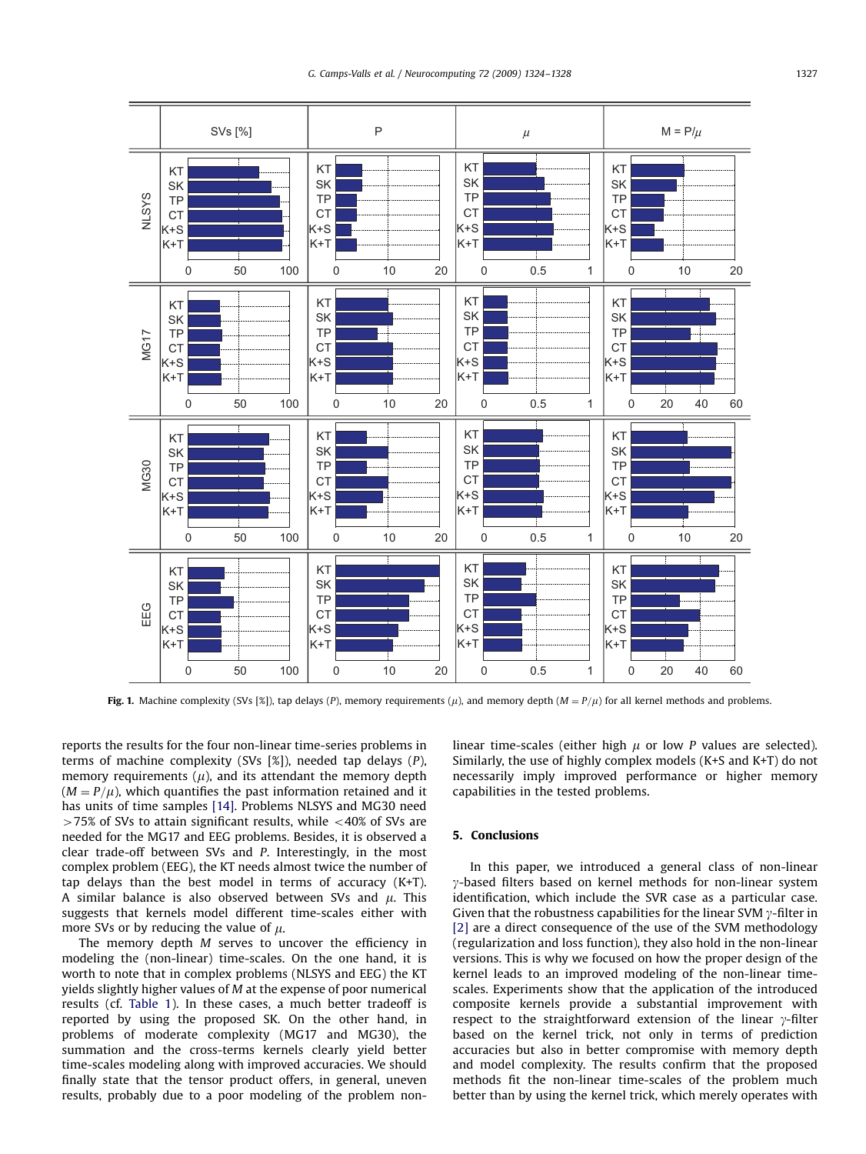<span id="page-3-0"></span>

Fig. 1. Machine complexity (SVs [%]), tap delays (P), memory requirements ( $\mu$ ), and memory depth ( $M = P/\mu$ ) for all kernel methods and problems.

reports the results for the four non-linear time-series problems in terms of machine complexity (SVs [%]), needed tap delays (P), memory requirements  $(\mu)$ , and its attendant the memory depth  $(M = P/\mu)$ , which quantifies the past information retained and it has units of time samples [\[14\]](#page-4-0). Problems NLSYS and MG30 need  $>75\%$  of SVs to attain significant results, while  $<$ 40% of SVs are needed for the MG17 and EEG problems. Besides, it is observed a clear trade-off between SVs and P. Interestingly, in the most complex problem (EEG), the KT needs almost twice the number of tap delays than the best model in terms of accuracy (K+T). A similar balance is also observed between SVs and  $\mu$ . This suggests that kernels model different time-scales either with more SVs or by reducing the value of  $\mu$ .

The memory depth M serves to uncover the efficiency in modeling the (non-linear) time-scales. On the one hand, it is worth to note that in complex problems (NLSYS and EEG) the KT yields slightly higher values of M at the expense of poor numerical results (cf. [Table 1](#page-2-0)). In these cases, a much better tradeoff is reported by using the proposed SK. On the other hand, in problems of moderate complexity (MG17 and MG30), the summation and the cross-terms kernels clearly yield better time-scales modeling along with improved accuracies. We should finally state that the tensor product offers, in general, uneven results, probably due to a poor modeling of the problem nonlinear time-scales (either high  $\mu$  or low P values are selected). Similarly, the use of highly complex models (K+S and K+T) do not necessarily imply improved performance or higher memory capabilities in the tested problems.

## 5. Conclusions

In this paper, we introduced a general class of non-linear  $\gamma$ -based filters based on kernel methods for non-linear system identification, which include the SVR case as a particular case. Given that the robustness capabilities for the linear SVM  $\gamma$ -filter in [\[2\]](#page-4-0) are a direct consequence of the use of the SVM methodology (regularization and loss function), they also hold in the non-linear versions. This is why we focused on how the proper design of the kernel leads to an improved modeling of the non-linear timescales. Experiments show that the application of the introduced composite kernels provide a substantial improvement with respect to the straightforward extension of the linear  $\gamma$ -filter based on the kernel trick, not only in terms of prediction accuracies but also in better compromise with memory depth and model complexity. The results confirm that the proposed methods fit the non-linear time-scales of the problem much better than by using the kernel trick, which merely operates with